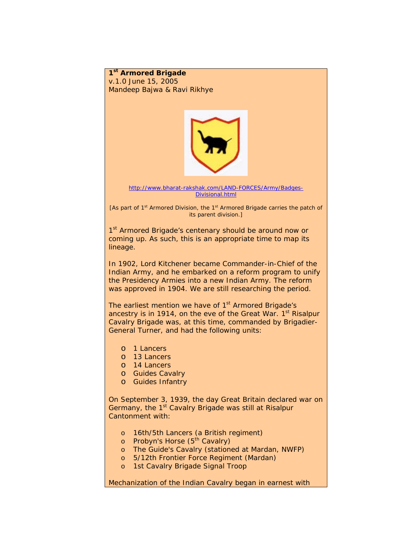**1st Armored Brigade**  v.1.0 June 15, 2005 *Mandeep Bajwa & Ravi Rikhye* 



[http://www.bharat-rakshak.com/LAND-FORCES/Army/Badges-](http://www.bharat-rakshak.com/LAND-FORCES/Army/Badges-Divisional.html)[Divisional.html](http://www.bharat-rakshak.com/LAND-FORCES/Army/Badges-Divisional.html) 

[As part of 1<sup>st</sup> Armored Division, the 1<sup>st</sup> Armored Brigade carries the patch of its parent division.]

1<sup>st</sup> Armored Brigade's centenary should be around now or coming up. As such, this is an appropriate time to map its lineage.

In 1902, Lord Kitchener became Commander-in-Chief of the Indian Army, and he embarked on a reform program to unify the Presidency Armies into a new Indian Army. The reform was approved in 1904. We are still researching the period.

The earliest mention we have of  $1<sup>st</sup>$  Armored Brigade's ancestry is in 1914, on the eve of the Great War.  $1<sup>st</sup>$  Risalpur Cavalry Brigade was, at this time, commanded by Brigadier-General Turner, and had the following units:

- o 1 Lancers
- o 13 Lancers
- o 14 Lancers
- o Guides Cavalry
- o Guides Infantry

On September 3, 1939, the day Great Britain declared war on Germany, the 1<sup>st</sup> Cavalry Brigade was still at Risalpur Cantonment with:

- o 16th/5th Lancers (a British regiment)
- o Probyn's Horse (5<sup>th</sup> Cavalry)
- o The Guide's Cavalry (stationed at Mardan, NWFP)
- o 5/12th Frontier Force Regiment (Mardan)
- o 1st Cavalry Brigade Signal Troop

Mechanization of the Indian Cavalry began in earnest with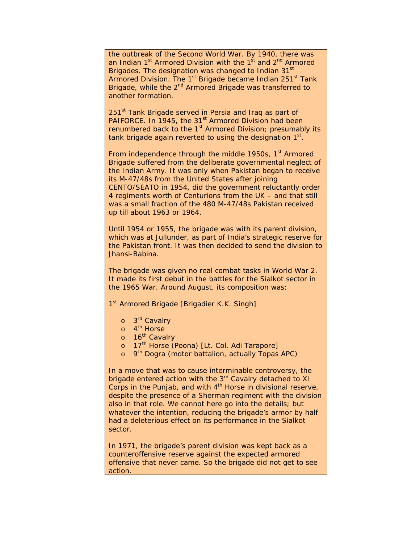the outbreak of the Second World War. By 1940, there was an Indian  $1<sup>st</sup>$  Armored Division with the  $1<sup>st</sup>$  and  $2<sup>nd</sup>$  Armored Brigades. The designation was changed to Indian 31<sup>st</sup> Armored Division. The 1<sup>st</sup> Brigade became Indian 251<sup>st</sup> Tank Brigade, while the 2<sup>nd</sup> Armored Brigade was transferred to another formation.

251<sup>st</sup> Tank Brigade served in Persia and Iraq as part of PAIFORCE. In 1945, the 31<sup>st</sup> Armored Division had been renumbered back to the  $1<sup>st</sup>$  Armored Division; presumably its tank brigade again reverted to using the designation  $1<sup>st</sup>$ .

From independence through the middle 1950s,  $1<sup>st</sup>$  Armored Brigade suffered from the deliberate governmental neglect of the Indian Army. It was only when Pakistan began to receive its M-47/48s from the United States after joining CENTO/SEATO in 1954, did the government reluctantly order 4 regiments worth of Centurions from the UK – and that still was a small fraction of the 480 M-47/48s Pakistan received up till about 1963 or 1964.

Until 1954 or 1955, the brigade was with its parent division, which was at Jullunder, as part of India's strategic reserve for the Pakistan front. It was then decided to send the division to Jhansi-Babina.

The brigade was given no real combat tasks in World War 2. It made its first debut in the battles for the Sialkot sector in the 1965 War. Around August, its composition was:

1<sup>st</sup> Armored Brigade [Brigadier K.K. Singh]

- o 3<sup>rd</sup> Cavalry
- o 4<sup>th</sup> Horse
- o 16<sup>th</sup> Cavalry
- o 17<sup>th</sup> Horse (Poona) [Lt. Col. Adi Tarapore]
- o 9<sup>th</sup> Dogra (motor battalion, actually Topas APC)

In a move that was to cause interminable controversy, the brigade entered action with the 3<sup>rd</sup> Cavalry detached to XI Corps in the Punjab, and with  $4<sup>th</sup>$  Horse in divisional reserve, despite the presence of a Sherman regiment with the division also in that role. We cannot here go into the details; but whatever the intention, reducing the brigade's armor by half had a deleterious effect on its performance in the Sialkot sector.

In 1971, the brigade's parent division was kept back as a counteroffensive reserve against the expected armored offensive that never came. So the brigade did not get to see action.